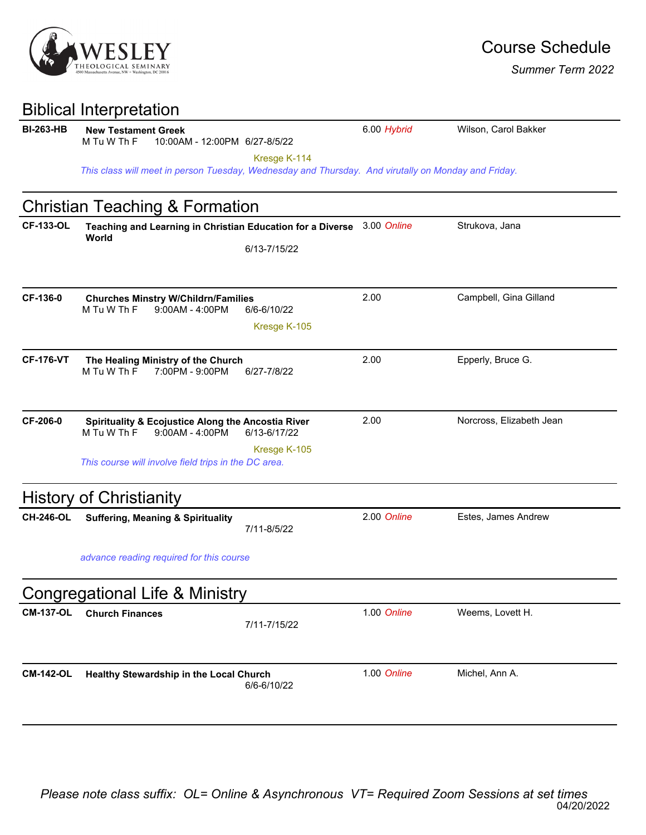

| <b>Biblical Interpretation</b> |  |
|--------------------------------|--|
|--------------------------------|--|

| <b>BI-263-HB</b> | <b>New Testament Greek</b><br>M Tu W Th F<br>10:00AM - 12:00PM 6/27-8/5/22                          |              | 6.00 Hybrid | Wilson, Carol Bakker     |  |  |
|------------------|-----------------------------------------------------------------------------------------------------|--------------|-------------|--------------------------|--|--|
|                  |                                                                                                     | Kresge K-114 |             |                          |  |  |
|                  | This class will meet in person Tuesday, Wednesday and Thursday. And virutally on Monday and Friday. |              |             |                          |  |  |
|                  | <b>Christian Teaching &amp; Formation</b>                                                           |              |             |                          |  |  |
| <b>CF-133-OL</b> | Teaching and Learning in Christian Education for a Diverse 3.00 Online<br>World                     |              |             | Strukova, Jana           |  |  |
|                  |                                                                                                     | 6/13-7/15/22 |             |                          |  |  |
|                  |                                                                                                     |              |             |                          |  |  |
| CF-136-0         | <b>Churches Minstry W/Childrn/Families</b><br>M Tu W Th F<br>$9:00AM - 4:00PM$                      | 6/6-6/10/22  | 2.00        | Campbell, Gina Gilland   |  |  |
|                  |                                                                                                     | Kresge K-105 |             |                          |  |  |
|                  |                                                                                                     |              |             |                          |  |  |
| <b>CF-176-VT</b> | The Healing Ministry of the Church                                                                  |              | 2.00        | Epperly, Bruce G.        |  |  |
|                  | M Tu W Th F<br>7:00PM - 9:00PM                                                                      | 6/27-7/8/22  |             |                          |  |  |
|                  |                                                                                                     |              |             |                          |  |  |
| CF-206-0         | <b>Spirituality &amp; Ecojustice Along the Ancostia River</b><br>M Tu W Th F<br>9:00AM - 4:00PM     | 6/13-6/17/22 | 2.00        | Norcross, Elizabeth Jean |  |  |
|                  |                                                                                                     |              |             |                          |  |  |
|                  | This course will involve field trips in the DC area.                                                | Kresge K-105 |             |                          |  |  |
|                  | <b>History of Christianity</b>                                                                      |              |             |                          |  |  |
| <b>CH-246-OL</b> | <b>Suffering, Meaning &amp; Spirituality</b>                                                        | 7/11-8/5/22  | 2.00 Online | Estes, James Andrew      |  |  |
|                  |                                                                                                     |              |             |                          |  |  |
|                  | advance reading required for this course                                                            |              |             |                          |  |  |
|                  | <b>Congregational Life &amp; Ministry</b>                                                           |              |             |                          |  |  |
| <b>CM-137-OL</b> | <b>Church Finances</b>                                                                              | 7/11-7/15/22 | 1.00 Online | Weems, Lovett H.         |  |  |
|                  |                                                                                                     |              |             |                          |  |  |
| <b>CM-142-OL</b> | Healthy Stewardship in the Local Church                                                             |              | 1.00 Online | Michel, Ann A.           |  |  |
|                  |                                                                                                     | 6/6-6/10/22  |             |                          |  |  |
|                  |                                                                                                     |              |             |                          |  |  |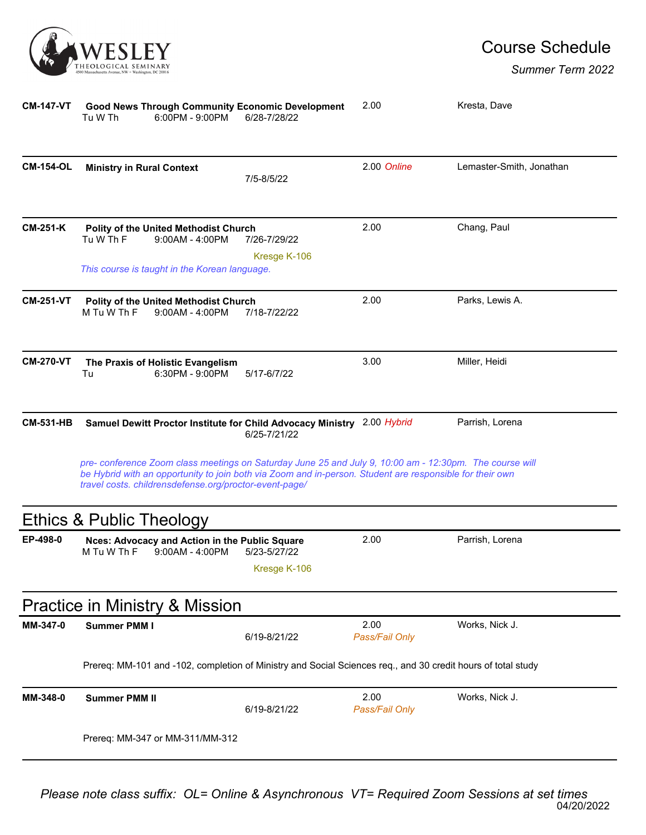

| <b>CM-147-VT</b> | <b>Good News Through Community Economic Development</b><br>Tu W Th<br>6:00PM - 9:00PM                                                                                                                                                                                         | 6/28-7/28/22                 | 2.00                   | Kresta, Dave             |
|------------------|-------------------------------------------------------------------------------------------------------------------------------------------------------------------------------------------------------------------------------------------------------------------------------|------------------------------|------------------------|--------------------------|
| <b>CM-154-OL</b> | <b>Ministry in Rural Context</b>                                                                                                                                                                                                                                              | 7/5-8/5/22                   | 2.00 Online            | Lemaster-Smith, Jonathan |
| <b>CM-251-K</b>  | Polity of the United Methodist Church<br>Tu W Th F<br>$9:00AM - 4:00PM$<br>This course is taught in the Korean language.                                                                                                                                                      | 7/26-7/29/22<br>Kresge K-106 | 2.00                   | Chang, Paul              |
| <b>CM-251-VT</b> | Polity of the United Methodist Church<br>M Tu W Th F<br>$9:00AM - 4:00PM$                                                                                                                                                                                                     | 7/18-7/22/22                 | 2.00                   | Parks, Lewis A.          |
| <b>CM-270-VT</b> | The Praxis of Holistic Evangelism<br>Tu<br>6:30PM - 9:00PM                                                                                                                                                                                                                    | 5/17-6/7/22                  | 3.00                   | Miller, Heidi            |
| <b>CM-531-HB</b> | Samuel Dewitt Proctor Institute for Child Advocacy Ministry 2.00 Hybrid                                                                                                                                                                                                       | 6/25-7/21/22                 |                        | Parrish, Lorena          |
|                  | pre- conference Zoom class meetings on Saturday June 25 and July 9, 10:00 am - 12:30pm. The course will<br>be Hybrid with an opportunity to join both via Zoom and in-person. Student are responsible for their own<br>travel costs. childrensdefense.org/proctor-event-page/ |                              |                        |                          |
|                  | Ethics & Public Theology                                                                                                                                                                                                                                                      |                              |                        |                          |
| EP-498-0         | Nces: Advocacy and Action in the Public Square<br>M Tu W Th F<br>$9:00AM - 4:00PM$                                                                                                                                                                                            | 5/23-5/27/22<br>Kresge K-106 | 2.00                   | Parrish, Lorena          |
|                  | <b>Practice in Ministry &amp; Mission</b>                                                                                                                                                                                                                                     |                              |                        |                          |
| MM-347-0         | <b>Summer PMM I</b>                                                                                                                                                                                                                                                           | 6/19-8/21/22                 | 2.00<br>Pass/Fail Only | Works, Nick J.           |
|                  | Prereq: MM-101 and -102, completion of Ministry and Social Sciences req., and 30 credit hours of total study                                                                                                                                                                  |                              |                        |                          |
| MM-348-0         | <b>Summer PMM II</b>                                                                                                                                                                                                                                                          | 6/19-8/21/22                 | 2.00<br>Pass/Fail Only | Works, Nick J.           |
|                  | Prereq: MM-347 or MM-311/MM-312                                                                                                                                                                                                                                               |                              |                        |                          |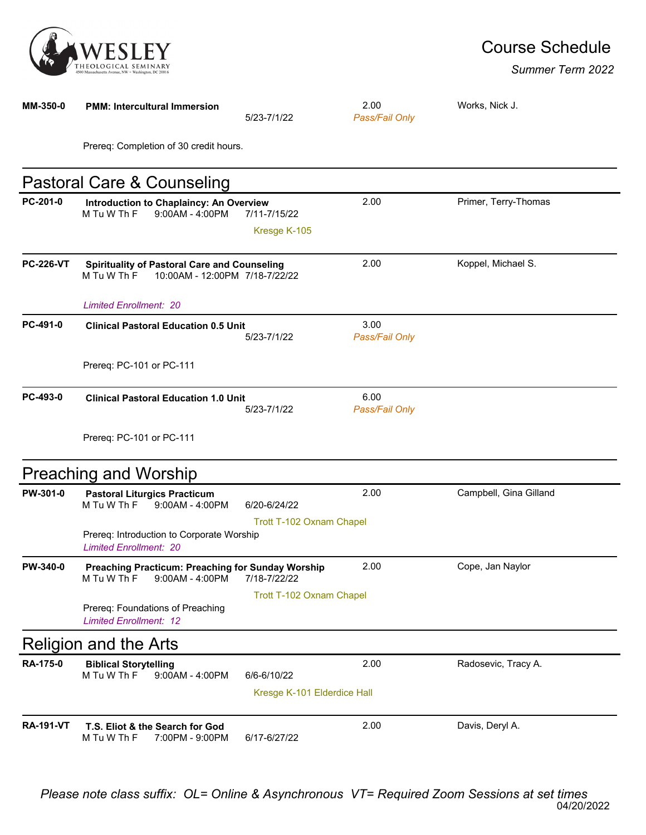

## Course Schedule

| MM-350-0         | <b>PMM: Intercultural Immersion</b>                                                                  | 5/23-7/1/22                  | 2.00<br>Pass/Fail Only | Works, Nick J.         |
|------------------|------------------------------------------------------------------------------------------------------|------------------------------|------------------------|------------------------|
|                  | Prereq: Completion of 30 credit hours.                                                               |                              |                        |                        |
|                  | Pastoral Care & Counseling                                                                           |                              |                        |                        |
| PC-201-0         | Introduction to Chaplaincy: An Overview<br>M Tu W Th F<br>$9:00AM - 4:00PM$                          | 7/11-7/15/22<br>Kresge K-105 | 2.00                   | Primer, Terry-Thomas   |
| <b>PC-226-VT</b> | <b>Spirituality of Pastoral Care and Counseling</b><br>M Tu W Th F<br>10:00AM - 12:00PM 7/18-7/22/22 |                              | 2.00                   | Koppel, Michael S.     |
|                  | <b>Limited Enrollment: 20</b>                                                                        |                              |                        |                        |
| PC-491-0         | <b>Clinical Pastoral Education 0.5 Unit</b>                                                          | 5/23-7/1/22                  | 3.00<br>Pass/Fail Only |                        |
|                  | Prereq: PC-101 or PC-111                                                                             |                              |                        |                        |
| PC-493-0         | <b>Clinical Pastoral Education 1.0 Unit</b>                                                          | 5/23-7/1/22                  | 6.00<br>Pass/Fail Only |                        |
|                  | Prereq: PC-101 or PC-111                                                                             |                              |                        |                        |
|                  | <b>Preaching and Worship</b>                                                                         |                              |                        |                        |
| PW-301-0         | <b>Pastoral Liturgics Practicum</b><br>M Tu W Th F<br>9:00AM - 4:00PM                                | 6/20-6/24/22                 | 2.00                   | Campbell, Gina Gilland |
|                  | Prereq: Introduction to Corporate Worship<br><b>Limited Enrollment: 20</b>                           | Trott T-102 Oxnam Chapel     |                        |                        |
| <b>PW-340-0</b>  | <b>Preaching Practicum: Preaching for Sunday Worship</b><br>M Tu W Th F<br>9:00AM - 4:00PM           | 7/18-7/22/22                 | 2.00                   | Cope, Jan Naylor       |
|                  | Prereq: Foundations of Preaching<br><b>Limited Enrollment: 12</b>                                    | Trott T-102 Oxnam Chapel     |                        |                        |
|                  | Religion and the Arts                                                                                |                              |                        |                        |
| RA-175-0         | <b>Biblical Storytelling</b><br>M Tu W Th F<br>9:00AM - 4:00PM                                       | 6/6-6/10/22                  | 2.00                   | Radosevic, Tracy A.    |
|                  |                                                                                                      | Kresge K-101 Elderdice Hall  |                        |                        |
| <b>RA-191-VT</b> | T.S. Eliot & the Search for God<br>7:00PM - 9:00PM<br>M Tu W Th F                                    | 6/17-6/27/22                 | 2.00                   | Davis, Deryl A.        |